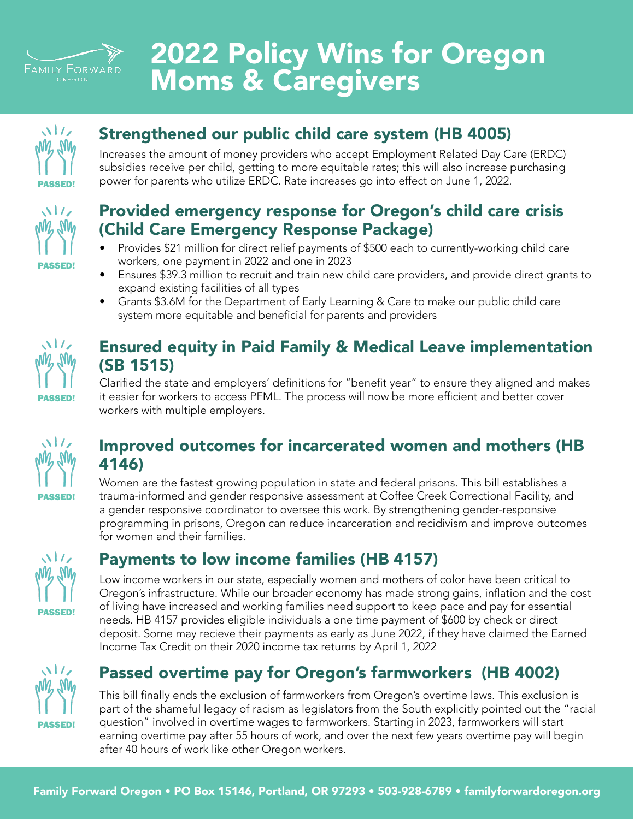

## 2022 Policy Wins for Oregon Moms & Caregivers



### Strengthened our public child care system (HB 4005)

Increases the amount of money providers who accept Employment Related Day Care (ERDC) subsidies receive per child, getting to more equitable rates; this will also increase purchasing power for parents who utilize ERDC. Rate increases go into effect on June 1, 2022.



#### Provided emergency response for Oregon's child care crisis (Child Care Emergency Response Package)

- Provides \$21 million for direct relief payments of \$500 each to currently-working child care workers, one payment in 2022 and one in 2023
- Ensures \$39.3 million to recruit and train new child care providers, and provide direct grants to expand existing facilities of all types
- Grants \$3.6M for the Department of Early Learning & Care to make our public child care system more equitable and beneficial for parents and providers



### Ensured equity in Paid Family & Medical Leave implementation (SB 1515)

Clarified the state and employers' definitions for "benefit year" to ensure they aligned and makes it easier for workers to access PFML. The process will now be more efficient and better cover workers with multiple employers.



#### Improved outcomes for incarcerated women and mothers (HB 4146)

Women are the fastest growing population in state and federal prisons. This bill establishes a trauma-informed and gender responsive assessment at Coffee Creek Correctional Facility, and a gender responsive coordinator to oversee this work. By strengthening gender-responsive programming in prisons, Oregon can reduce incarceration and recidivism and improve outcomes for women and their families.



## Payments to low income families (HB 4157)

Low income workers in our state, especially women and mothers of color have been critical to Oregon's infrastructure. While our broader economy has made strong gains, inflation and the cost of living have increased and working families need support to keep pace and pay for essential needs. HB 4157 provides eligible individuals a one time payment of \$600 by check or direct deposit. Some may recieve their payments as early as June 2022, if they have claimed the Earned Income Tax Credit on their 2020 income tax returns by April 1, 2022



## Passed overtime pay for Oregon's farmworkers (HB 4002)

This bill finally ends the exclusion of farmworkers from Oregon's overtime laws. This exclusion is part of the shameful legacy of racism as legislators from the South explicitly pointed out the "racial question" involved in overtime wages to farmworkers. Starting in 2023, farmworkers will start earning overtime pay after 55 hours of work, and over the next few years overtime pay will begin after 40 hours of work like other Oregon workers.